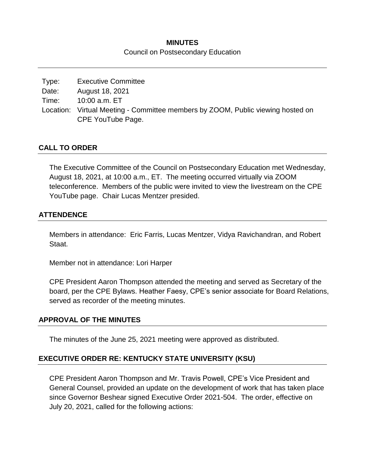## **MINUTES** Council on Postsecondary Education

| Type: | <b>Executive Committee</b>                                                      |
|-------|---------------------------------------------------------------------------------|
| Date: | August 18, 2021                                                                 |
| Time: | 10:00 a.m. ET                                                                   |
|       | Location: Virtual Meeting - Committee members by ZOOM, Public viewing hosted on |
|       | CPE YouTube Page.                                                               |

### **CALL TO ORDER**

The Executive Committee of the Council on Postsecondary Education met Wednesday, August 18, 2021, at 10:00 a.m., ET. The meeting occurred virtually via ZOOM teleconference. Members of the public were invited to view the livestream on the CPE YouTube page. Chair Lucas Mentzer presided.

### **ATTENDENCE**

Members in attendance: Eric Farris, Lucas Mentzer, Vidya Ravichandran, and Robert Staat.

Member not in attendance: Lori Harper

CPE President Aaron Thompson attended the meeting and served as Secretary of the board, per the CPE Bylaws. Heather Faesy, CPE's senior associate for Board Relations, served as recorder of the meeting minutes.

#### **APPROVAL OF THE MINUTES**

The minutes of the June 25, 2021 meeting were approved as distributed.

## **EXECUTIVE ORDER RE: KENTUCKY STATE UNIVERSITY (KSU)**

CPE President Aaron Thompson and Mr. Travis Powell, CPE's Vice President and General Counsel, provided an update on the development of work that has taken place since Governor Beshear signed Executive Order 2021-504. The order, effective on July 20, 2021, called for the following actions: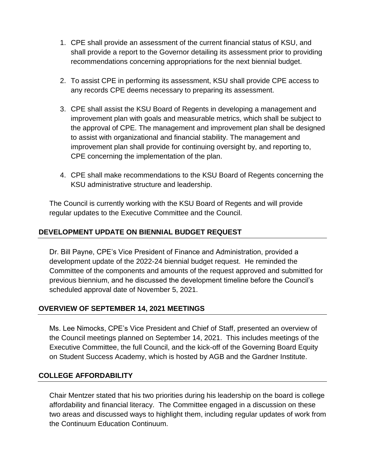- 1. CPE shall provide an assessment of the current financial status of KSU, and shall provide a report to the Governor detailing its assessment prior to providing recommendations concerning appropriations for the next biennial budget.
- 2. To assist CPE in performing its assessment, KSU shall provide CPE access to any records CPE deems necessary to preparing its assessment.
- 3. CPE shall assist the KSU Board of Regents in developing a management and improvement plan with goals and measurable metrics, which shall be subject to the approval of CPE. The management and improvement plan shall be designed to assist with organizational and financial stability. The management and improvement plan shall provide for continuing oversight by, and reporting to, CPE concerning the implementation of the plan.
- 4. CPE shall make recommendations to the KSU Board of Regents concerning the KSU administrative structure and leadership.

The Council is currently working with the KSU Board of Regents and will provide regular updates to the Executive Committee and the Council.

# **DEVELOPMENT UPDATE ON BIENNIAL BUDGET REQUEST**

Dr. Bill Payne, CPE's Vice President of Finance and Administration, provided a development update of the 2022-24 biennial budget request. He reminded the Committee of the components and amounts of the request approved and submitted for previous biennium, and he discussed the development timeline before the Council's scheduled approval date of November 5, 2021.

## **OVERVIEW OF SEPTEMBER 14, 2021 MEETINGS**

Ms. Lee Nimocks, CPE's Vice President and Chief of Staff, presented an overview of the Council meetings planned on September 14, 2021. This includes meetings of the Executive Committee, the full Council, and the kick-off of the Governing Board Equity on Student Success Academy, which is hosted by AGB and the Gardner Institute.

#### **COLLEGE AFFORDABILITY**

Chair Mentzer stated that his two priorities during his leadership on the board is college affordability and financial literacy. The Committee engaged in a discussion on these two areas and discussed ways to highlight them, including regular updates of work from the Continuum Education Continuum.